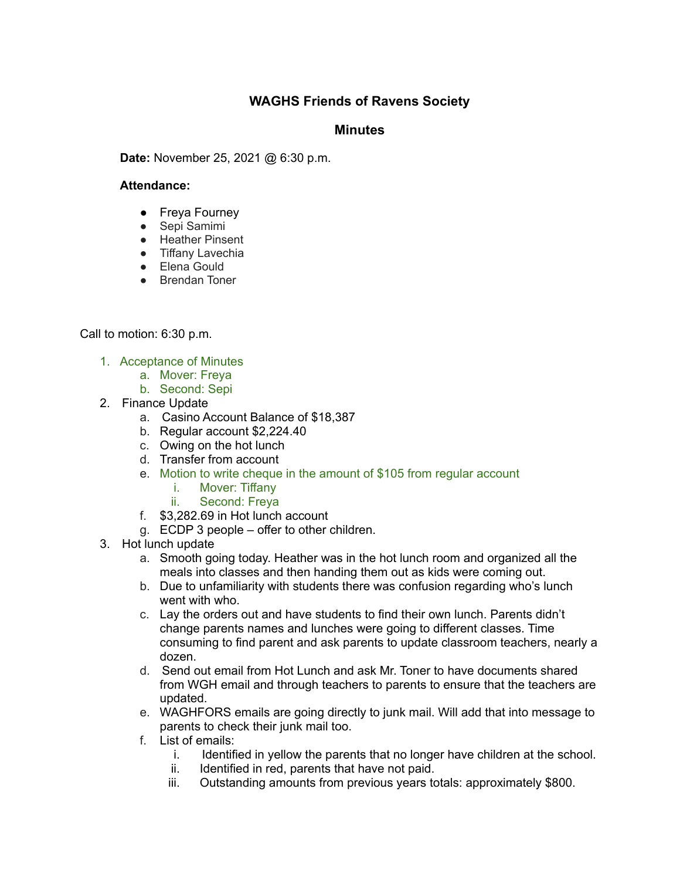## **WAGHS Friends of Ravens Society**

## **Minutes**

**Date:** November 25, 2021 @ 6:30 p.m.

## **Attendance:**

- Freya Fourney
- Sepi Samimi
- Heather Pinsent
- Tiffany Lavechia
- Elena Gould
- Brendan Toner

Call to motion: 6:30 p.m.

- 1. Acceptance of Minutes
	- a. Mover: Freya
	- b. Second: Sepi
- 2. Finance Update
	- a. Casino Account Balance of \$18,387
	- b. Regular account \$2,224.40
	- c. Owing on the hot lunch
	- d. Transfer from account
	- e. Motion to write cheque in the amount of \$105 from regular account
		- i. Mover: Tiffany
		- ii. Second: Freya
	- f. \$3,282.69 in Hot lunch account
	- g. ECDP 3 people offer to other children.
- 3. Hot lunch update
	- a. Smooth going today. Heather was in the hot lunch room and organized all the meals into classes and then handing them out as kids were coming out.
	- b. Due to unfamiliarity with students there was confusion regarding who's lunch went with who.
	- c. Lay the orders out and have students to find their own lunch. Parents didn't change parents names and lunches were going to different classes. Time consuming to find parent and ask parents to update classroom teachers, nearly a dozen.
	- d. Send out email from Hot Lunch and ask Mr. Toner to have documents shared from WGH email and through teachers to parents to ensure that the teachers are updated.
	- e. WAGHFORS emails are going directly to junk mail. Will add that into message to parents to check their junk mail too.
	- f. List of emails:
		- i. Identified in yellow the parents that no longer have children at the school.
		- ii. Identified in red, parents that have not paid.
		- iii. Outstanding amounts from previous years totals: approximately \$800.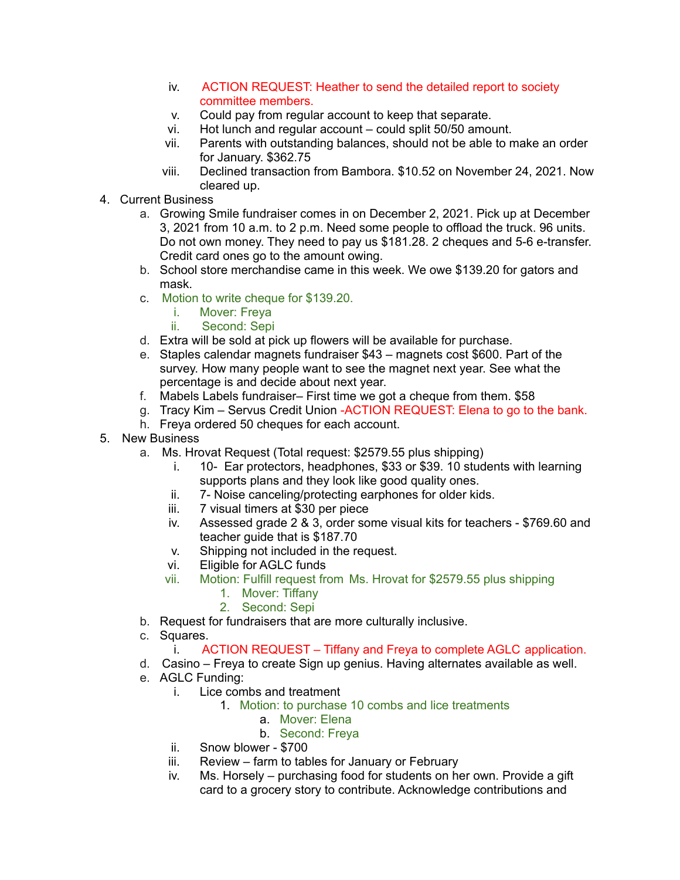- iv. ACTION REQUEST: Heather to send the detailed report to society committee members.
- v. Could pay from regular account to keep that separate.
- vi. Hot lunch and regular account could split 50/50 amount.
- vii. Parents with outstanding balances, should not be able to make an order for January. \$362.75
- viii. Declined transaction from Bambora. \$10.52 on November 24, 2021. Now cleared up.
- 4. Current Business
	- a. Growing Smile fundraiser comes in on December 2, 2021. Pick up at December 3, 2021 from 10 a.m. to 2 p.m. Need some people to offload the truck. 96 units. Do not own money. They need to pay us \$181.28. 2 cheques and 5-6 e-transfer. Credit card ones go to the amount owing.
	- b. School store merchandise came in this week. We owe \$139.20 for gators and mask.
	- c. Motion to write cheque for \$139.20.
		- i. Mover: Freya
		- ii. Second: Sepi
	- d. Extra will be sold at pick up flowers will be available for purchase.
	- e. Staples calendar magnets fundraiser \$43 magnets cost \$600. Part of the survey. How many people want to see the magnet next year. See what the percentage is and decide about next year.
	- f. Mabels Labels fundraiser– First time we got a cheque from them. \$58
	- g. Tracy Kim Servus Credit Union -ACTION REQUEST: Elena to go to the bank.
	- h. Freya ordered 50 cheques for each account.
- 5. New Business
	- a. Ms. Hrovat Request (Total request: \$2579.55 plus shipping)
		- i. 10- Ear protectors, headphones, \$33 or \$39. 10 students with learning supports plans and they look like good quality ones.
		- ii. 7- Noise canceling/protecting earphones for older kids.
		- iii. 7 visual timers at \$30 per piece
		- iv. Assessed grade 2 & 3, order some visual kits for teachers \$769.60 and teacher guide that is \$187.70
		- v. Shipping not included in the request.
		- vi. Eligible for AGLC funds
		- vii. Motion: Fulfill request from Ms. Hrovat for \$2579.55 plus shipping
			- 1. Mover: Tiffany
			- 2. Second: Sepi
	- b. Request for fundraisers that are more culturally inclusive.
	- c. Squares.
		- i. ACTION REQUEST Tiffany and Freya to complete AGLC application.
	- d. Casino Freya to create Sign up genius. Having alternates available as well.
	- e. AGLC Funding:
		- i. Lice combs and treatment
			- 1. Motion: to purchase 10 combs and lice treatments
				- a. Mover: Elena
				- b. Second: Freya
		- ii. Snow blower \$700
		- iii. Review farm to tables for January or February
		- iv. Ms. Horsely purchasing food for students on her own. Provide a gift card to a grocery story to contribute. Acknowledge contributions and